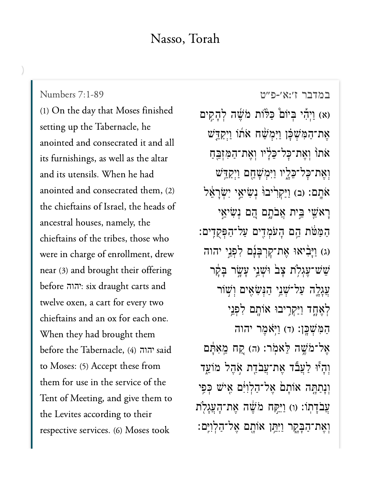## Nasso, Torah

(1) On the day that Moses finished setting up the Tabernacle, he anointed and consecrated it and all its furnishings, as well as the altar and its utensils. When he had anointed and consecrated them, (2) the chieftains of Israel, the heads of ancestral houses, namely, the chieftains of the tribes, those who were in charge of enrollment, drew near (3) and brought their offering before : six draught carts and יהוהtwelve oxen, a cart for every two chieftains and an ox for each one. When they had brought them before the Tabernacle, (4) יהוה said to Moses: (5) Accept these from them for use in the service of the Tent of Meeting, and give them to the Levites according to their respective services. (6) Moses took

[במדבר ז׳:א׳-פ״ט](https://www.sefaria.org/Numbers%207:1-89) [7:1-89 Numbers](https://www.sefaria.org/Numbers%207:1-89)

(א) וַיְהִי בְּיוֹם כַּלּוֹת מֹשֶׁה לְהָקִים אֶת־הַמְּשִׁכָּ֫ן וַיְּמִשָּׁה אֹתוֹ וַיִּקַדֵּשׁ אֹתוֹ וִאֵת־כָּל־כֵּלְיו וְאֶת־הַמִּזְבֵּחַ וְאֵת־כָּל־כֵּלָיו וַיִּמְשָׁחֵם וַיִּקַדֵּֽשׁ ֿאֹתָם: (ב) וַיַּקְרִיבוּׂ נִשְׂיאֵי יִשְׂרָאֵל ֿרַאֹשֵׁי בֵּית אֲבֹתָם הֵם נִ<sup>ּ</sup>שִׂיאֵי ַה ַּמ ֹּ֔ט ת ֵ֥ה ם ָה ֹע ְמ ִ֖ד ים ַע ל־ַה ְּפ ֻק ִֽד ים׃ (ג) וַיְּבִ֫יאוּ אֶת־קַרְבְּנָۢם לִפְנֵי יהוה) שִׁש־עֲגִלְת צַבׂ וּשָׁנֵי עַשֲׂר בָּקַר' ְעֲגָלֵה עַל־שָׁנֵי הַנִּשְׂאֵים וְשָׁוֹר לְאֵחֵד וַיַּקְרֵיבוּ אוֹתָם לִפְנֵי ַהַמְּשָׁכֵּן: (ד) וַיְּאֹמֵר יהוה אֲל־מֹשֶׁה לֵאמֹר: (ה) קַח מֵאִתַּם וְהָיוּ לַעֲבٌד אֵת־עֲבֹדֵת אָהֶל מוֹעֵד וְנַתַתָּה אוֹתָם אֵל־הַלְוִיָּ֔ם אֵישׁ כִּפֵי עֲבֹדָתוֹ: (ו) וַיִּקַּח מֹשֶׁה אֱת־הָעֲגָלְת וְאֶת־הַבָּקֵר וַיִּתֵּן אוֹתָם אֶל־הַלְוִיֵּם: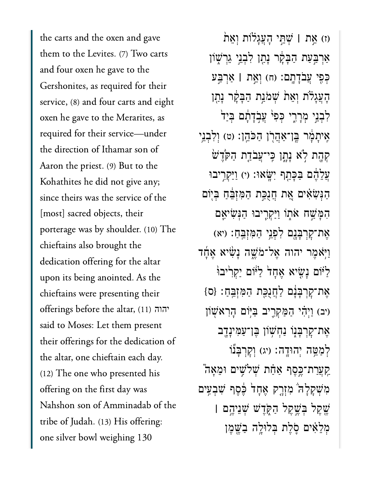the carts and the oxen and gave them to the Levites. (7) Two carts and four oxen he gave to the Gershonites, as required for their service, (8) and four carts and eight oxen he gave to the Merarites, as required for their service—under the direction of Ithamar son of Aaron the priest. (9) But to the Kohathites he did not give any; since theirs was the service of the [most] sacred objects, their porterage was by shoulder. (10) The chieftains also brought the dedication offering for the altar upon its being anointed. As the chieftains were presenting their offerings before the altar, (11) יהוהsaid to Moses: Let them present their offerings for the dedication of the altar, one chieftain each day. (12) The one who presented his offering on the first day was Nahshon son of Amminadab of the tribe of Judah. (13) His offering: one silver bowl weighing 130

)ז( ֵ֣את **׀** ְׁשֵּ֣תי ָהֲעָג֗לֹות ְוֵא֙ת אַרִבְּעַת הַבָּקָר נָתַן לְבְנֵי גֵרִשְׁוֹן ְּכִ֖פי ֲעֹבָדָֽתם׃ )ח( ְוֵ֣את **׀** ַאְרַּ֣בע ָהָעֲגָלֹת וְאֵת שִׁמֹּנֵַת הַבָּקָר נָתַן לִבְנֵי מְרָרֵי כְּפ<sup>ִנ</sup> עַבְדָתָם בִּיַד<sup>י</sup> ַאֲיתָמְ֫ר בֵּן־אֲהֲרֹן הַכֹּהֶן: (ט) וְלִבְנֵי ֹקְהֶת לְא נָתָן כֵּי־עֲבֹדֵת הַקְּדֵשׁ ַעֲלֶהֶׁם בַּבָּתֵף יִשָּׂאוּ: (י) וַיַּקְרֵיבוּ ַהְּנִׂשִ֗אים ֵ֚את ֲחֻנַּ֣כת ַהִּמְזֵּ֔בַח ְּב֖יֹום הִמַּּשָׁח אֹתְוֹ וַיַּקְרֵיבוּ הַגְּשִׂיאֵם ָאֶת־קָרְבָּנֵָם לְפָנֵי הַמְּזָּבֵהָ׃ (יא וַיְּאֹמֶר יהוה אֱל־מֹשֶׁה נַעָּׂיא אֱחָד ַלִּיֹּוֹם נָשִׂיא אֶחָד לַיּוֹם יַקְרִיבוּ ַאֲת־קָרְבָּנָם לַחֲנָכֵּת הַמְּזְבֵּחָ: {ס יב) וַיְהִי הַמַּקְרֵיב בַּיְּוֹם הָרָאֹשָׁוֹן ּאֶת־קָרְבָּנִֽוּ נַחְשְׁוֹן בֶּן־עַמִּינָדֶב לְמַמֵּה יְהוּדָה: (יג) וְקָרְבָּנוֹ ַקְעֲרַת־כֶּסֶף אַּחַֹּת שְׁלֹשִׁים וּמֵאָה מְּשִׁקָלָה מִזְרֶק אֵחָד בֶּׁכֶּף שְׁבִעִּים ֶׁ֖שֶקל ְּבֶׁ֣שֶקל ַהֹּ֑קֶדׁש ְׁשֵניֶ֣הם **׀** ּמְלֵאִיִּם סָלֵת בְּלוּלֵה בַּשֵׁמֶן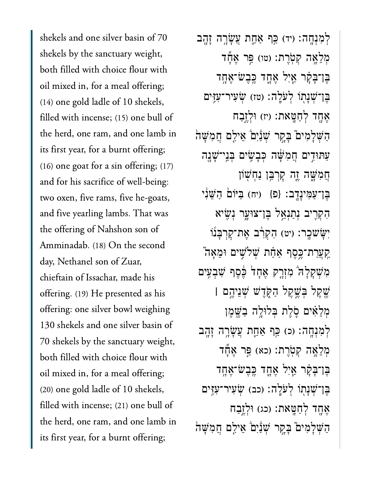shekels and one silver basin of 70 shekels by the sanctuary weight, both filled with choice flour with oil mixed in, for a meal offering; (14) one gold ladle of 10 shekels, filled with incense; (15) one bull of the herd, one ram, and one lamb in its first year, for a burnt offering; (16) one goat for a sin offering; (17) and for his sacrifice of well-being: two oxen, five rams, five he-goats, and five yearling lambs. That was the offering of Nahshon son of Amminadab. (18) On the second day, Nethanel son of Zuar, chieftain of Issachar, made his offering. (19) He presented as his offering: one silver bowl weighing 130 shekels and one silver basin of 70 shekels by the sanctuary weight, both filled with choice flour with oil mixed in, for a meal offering; (20) one gold ladle of 10 shekels, filled with incense; (21) one bull of the herd, one ram, and one lamb in its first year, for a burnt offering;

ְלְמְנְחֵה: (יד) כֵּף אֲחֵת עֲשֲׂרֵה זַהֲב מְלֵאֲה קִטְׂרֵת: (טו) פֵּר אֱנוֹד בֵּו־בָּקָר אַיָּל אֶחֱד כֵּבֵשֹ־אֵחֶד ָבֵן־שָׁנַתְוֹ לְעֹלֵה: (טז) שָׂעִיר־עָזֵים אֶחֶד לְחַטֵּאת: (יז) וּלְזֵבַח הַשְׁלַמְים ּבַקֵר שָׁנַּ֫יָם אֵילֵם חֲמִשָּׁה עַתּוּדֵים חֲמְשָׁׂה כְּבַשֵּׂים בְּנֵי־שָׁנֵה הֲמְשֶׁה יֵה קַרְבֵּ֣ן וַחָשְׁוֹן בֶּן־עַמְינָדֶֽב: {פ<sub>ּ</sub>} (יה) בַּיּוֹם הַשֵּׁנִי הִקְרֵיב נְתַנְאֱל בֵּן־צוּעֲר נִשֶׂיא יְשָׂשכֵר: (יט) הָקְרָ֫ב אֱת־קַרְבָּנוֹ ַקַעֲרַת־כֶּסֶף אַחָת שְׁלֹשֵׁים וּמֵאֲה מִשְׁקַלָּה ׁמְזָרֶק אֶחָד בֶּׁסֵף שָׁבְעֵים ֶׁ֖ש ֶק ל ְּב ֶׁ֣ש ֶק ל ַה ֹּ֑ק ֶד ׁש ְׁש ֵנ יֶ֣ה ם **׀** מִלָּאִים סָלֵת בִּלוּלֵה בַשֵּׁמֵן ְלְמִנְחָה: (כ) כֵּף אֲחֱת עֲשָׂרָה זָהֶב מְלֵאֲה קִטְרֵת: (כא) פֵּר אֱדֶּד בֶּו־בָּקָ**֫ר אַ**יָל אֶחֱד כֱבֶשֹ־אֶחֶד ָבֵן־שָׁנַתְוֹ לְעֹלֵה: (כב) שָׂעָיר־עָזֶים אֶחֶד לְחַטֵּאת: (כג) וּלְזֵבַח הַשְׁלַמְיִם בַּקֵר שְׁנַיִם אֵילֵם חֲמְשָׁה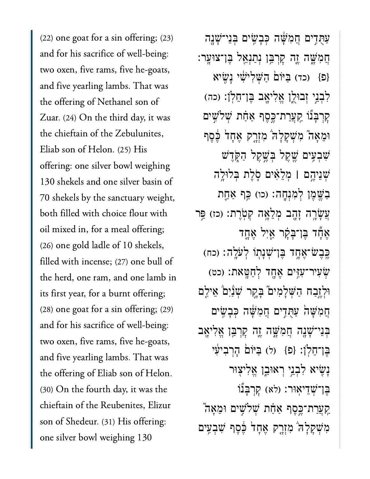(22) one goat for a sin offering; (23) and for his sacrifice of well-being: two oxen, five rams, five he-goats, and five yearling lambs. That was the offering of Nethanel son of Zuar. (24) On the third day, it was the chieftain of the Zebulunites, Eliab son of Helon. (25) His offering: one silver bowl weighing 130 shekels and one silver basin of 70 shekels by the sanctuary weight, both filled with choice flour with oil mixed in, for a meal offering; (26) one gold ladle of 10 shekels, filled with incense; (27) one bull of the herd, one ram, and one lamb in its first year, for a burnt offering; (28) one goat for a sin offering; (29) and for his sacrifice of well-being: two oxen, five rams, five he-goats, and five yearling lambs. That was the offering of Eliab son of Helon. (30) On the fourth day, it was the chieftain of the Reubenites, Elizur son of Shedeur. (31) His offering: one silver bowl weighing 130

ַעֲתָּדִים חֲמִשָּׁה כִּבָעֵיּם בִּנֵי־שָׁנֵה ֲחִמָּׁ֑שה ֶ֛זה ׇקְרַּ֥בן ְנַתְנֵ֖אל ֶּבן־צּוָֽער׃ (פּ}) (כד) בֵּיּוֹם הַשָּׁלִיּשִׂי נָשִׂיא ַּלְבְנֵי זְבוּלֵן אֱלִיאָב בֵּן־חֵלְןׁ: (כה) ּקַרְבָּנוֹ <u>קְעֲר</u>ת־כֵּסֵף אַּחַת שָׁלֹשֵׁים וּמֵאֲה ֿמְשָׁקָלָה מְזָרֶק אֶחָד בֶּסֶף ִׁשְבִ֥עים ֶׁ֖שֶקל ְּבֶׁ֣שֶקל ַהֹּ֑קֶדׁש ְׁשֵניֶ֣הם **׀** ְמֵלִ֗אים ֹ֛סֶלת ְּבלּוָ֥לה ַבְּשֱמֶן לְמְנָחֶה: (כו) כֵּף אַחֱת ַעֲשָׂרֶה זָהָב מִלֵאָה קִטְרֵת: (כז) פֵּר ְאֶתֶּד בֵּן־בָּקָר אֵיְל אֶחֱד ֶּבֶשׁ־אֶחֶד בֵּן־שָׁנָתְוֹ לְעֹלֶה: (כח) ֹשִׁעִיר־עָזִים אֶחֶד לְחַטֵּאת: (כט) וּלְזֵבַח הַשָּׁלָמִים בָּקַר שִׁנַּ֫יִם אֵילֵם ְחֲמִשָּׁה עַתְּדִים חֲמְשָׁה כִּבָעֵיּם בִּנִי־שָׁנָה חֲמִשָּׁה זֶה קָרָבֵּן אֵלְיאָב ֶּבן־ֵחֹֽלן׃ }פ{ )ל( ַּבּיֹו֙ם ָהְרִביִ֔עי ָנִׂ֖שיא ִלְבֵ֣ני ְראּוֵ֑בן ֱאִלי֖צּור ָבֶן־שְׁדֵיאוּר: (לא) קַרְבָּנוֹ ַקְעֲרַת־כֶּסֶף אַחַת שִׁלֹשִׁים וּמֵאָה ִמְּשָׁקָלָה מְזָרֶק אֱחַד ּבֶּסֶף שָׁבְעֵים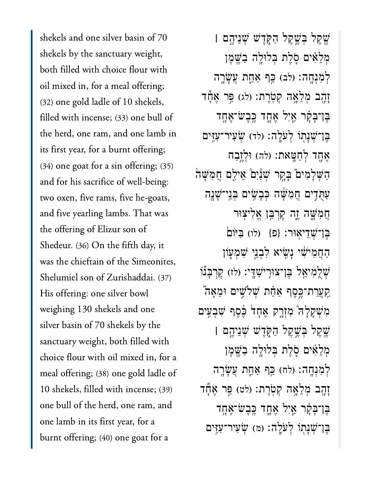shekels and one silver basin of 70 shekels by the sanctuary weight, both filled with choice flour with oil mixed in, for a meal offering; (32) one gold ladle of 10 shekels, filled with incense; (33) one bull of the herd, one ram, and one lamb in its first year, for a burnt offering; (34) one goat for a sin offering; (35) and for his sacrifice of well-being: two oxen, five rams, five he-goats, and five yearling lambs. That was the offering of Elizur son of Shedeur. (36) On the fifth day, it was the chieftain of the Simeonites, Shelumiel son of Zurishaddai. (37) His offering: one silver bowl weighing 130 shekels and one silver basin of 70 shekels by the sanctuary weight, both filled with choice flour with oil mixed in, for a meal offering; (38) one gold ladle of 10 shekels, filled with incense; (39) one bull of the herd, one ram, and one lamb in its first year, for a burnt offering; (40) one goat for a

ֶׁ֖שֶקל ְּבֶׁ֣שֶקל ַהֹּ֑קֶדׁש ְׁשֵניֶ֣הם **׀** ּמְלֵאִיִּם סָלֵת בְּלוּלֵה בַּשֵׁמֶן לְמְנָחֶה: (לִב) כֵּף אֲחֲת עֲשָׂרֵה ַזְהָב מְלֵאֲה קִטְרֵת: (לג) פֵּר אֲדֶّד ֶּבן־ָּבָ֗קר ַ֧אִיל ֶאָ֛חד ֶּֽכֶבׂש־ֶאָ֥חד ֶּבן־ְׁשָנ֖תֹו ְלֹעָֽלה׃ )לד( ְׂשִעיר־ִעִּ֥זים אָחַד לְחַטֵּאת: (לה) וּלְזֶבַח הַשָּׁלָמִים בָּקֵר שִׁנַּ֫יִם אֵילֶם חֲמִשָּׁה ַעַּתְּדִים חֲמִשָּׁה כְּבָשֵׂים בְּנֵי־שָׁנָָה הַמְּשֵׁה וֵה קָרִבֵּן אֱלִיצְוּר  $\left( \mathbf{c} \right)$ בְּן־שָׁדֵיאָוּר: {פּ} (לו) בַּיּוֹם ָהָחֲמִיּשִׂי נַשִׂיא לְבְנֵי שָׁמְעִוֹן ֿשָׁלֶמִיאֵל בֵּן־צוּרִישַׁדֵּי: (לז) קָרְבָּנוֹ ַקְעֲרַת־כֵּסֵף אַּחָׁת שְׁלֹשֵׁים וּמֵאָה מִשְׁקָלָה מִזְרֶק אֵחָד בֶּׁכֵף שָׁבִעִּים ֶׁ֖שֶקל ְּבֶׁ֣שֶקל ַהֹּ֑קֶדׁש ְׁשֵניֶ֣הם **׀** ּמְלֵאִיִּם סָלֵת בְּלוּלֵה בַּשֵׁמֶן לְמְנְחֲה׃ (לֹח) כֵּף אֲחֱת עֲשָׂרֶה זָזָהָב מְלֵאֲה קְטָרֶת: (לט) פֵּר אֶדֶّד ֶּבן־ָּבָ֗קר ַ֧אִיל ֶאָ֛חד ֶּֽכֶבׂש־ֶאָ֥חד ֶּבן־ְׁשָנ֖תֹו ְלֹעָֽלה׃ )מ( ְׂשִעיר־ִעִּ֥זים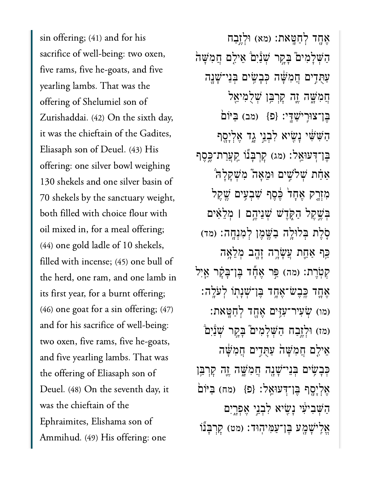sin offering; (41) and for his sacrifice of well-being: two oxen, five rams, five he-goats, and five yearling lambs. That was the offering of Shelumiel son of Zurishaddai. (42) On the sixth day, it was the chieftain of the Gadites, Eliasaph son of Deuel. (43) His offering: one silver bowl weighing 130 shekels and one silver basin of 70 shekels by the sanctuary weight, both filled with choice flour with oil mixed in, for a meal offering; (44) one gold ladle of 10 shekels, filled with incense; (45) one bull of the herd, one ram, and one lamb in its first year, for a burnt offering; (46) one goat for a sin offering; (47) and for his sacrifice of well-being: two oxen, five rams, five he-goats, and five yearling lambs. That was the offering of Eliasaph son of Deuel. (48) On the seventh day, it was the chieftain of the Ephraimites, Elishama son of Ammihud. (49) His offering: one

אָחָד לְחַטֵּאת: (מא) וּלְזֵבַח הַשָּׁלְמִים בָּקֶר שְׁנַיִם אֵילִם חֲמִשָּׁה ַעֻּתִ֣דים ֲחִמָּׁ֔שה ְּכָבִׂ֥שים ְּבֵני־ָׁשָ֖נה ֲחִמָּׁ֑שה ֶ֛זה ׇקְרַּ֥בן ְׁשֻלִמיֵ֖אל הֵן־צוּרֵי<sup>ּיַ</sup>שַׁדִּי: {פ<sup>ָּ</sup>} (מב) בַּיּוֹם ַהַשִּׁשִּׂי נָשִׂיא לְבְנֵי גָד אֵלְיָסֵף ֶּבֶּן־דְּעוּאֱל: (מג) קַרְבָּנוֹ קֵעֲרַת־כֱסֶף ֿאַתֿת שִׁלֹּשֵׁים וּמֵאַה ּמְשִׁקָלָה מִזְרֵק אֶחָד<sup>ו</sup> בֶּׁסֶף שְׁבְעֵים שֶׁקֵל ְּבֶׁ֣שֶקל ַהֹּ֑קֶדׁש ְׁשֵניֶ֣הם **׀** ְמֵלִ֗אים ְּסֶלֶת בְּלוּלֵה בַּשֱמֶן לְמְנְחֲה: (מד) ַּכֵּף אַחֲת עֲשָׂרֶה זָהָב מִלֵאָה קִטְרֵת: (מה) פֵּר אֲעָّד בֵּוְ־בָּקָר אֵיְל ָאֶחֱד כֵּבְשֹ־אֶחֱד בֵּן־שָׁנָתְוֹ לְעֹלֵה: )מו( ְׂשִעיר־ִעִּ֥זים ֶאָ֖חד ְלַחָּֽטאת׃ (מז) וּלְזֶבָח הַשָּׁלַמִים בַּקֵר שָׁנַּ֫יִם אֵילֵם חֲמִשָּׁה עַתְּדֵים חֲמִשָּׁה ּכְּבָשִׂיִּם בְּנֵי־שָׁנֶה חֲמִשֶּׁה וֶ֑ז קִרְבַּ֣ן ַאֲלְיָסֵף בֵּן־דְּעוּאֱל: {פ} (מח) בַּיּוֹם ַהְּׁשִביִ֔עי ָנִׂ֖שיא ִלְבֵ֣ני ֶאְפָ֑רִים אֵלִיּשָׁמֶע בֵּן־עַמִּיהִוּד: (מט) קָרְבָּנוֹ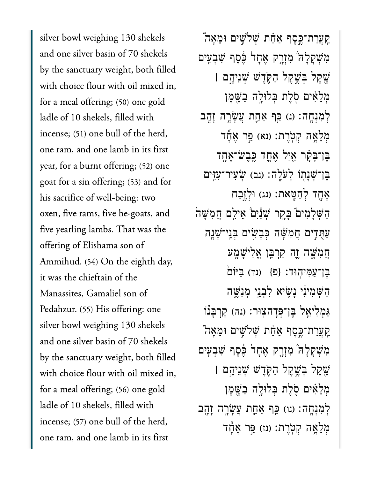silver bowl weighing 130 shekels and one silver basin of 70 shekels by the sanctuary weight, both filled with choice flour with oil mixed in, for a meal offering; (50) one gold ladle of 10 shekels, filled with incense; (51) one bull of the herd, one ram, and one lamb in its first year, for a burnt offering; (52) one goat for a sin offering; (53) and for his sacrifice of well-being: two oxen, five rams, five he-goats, and five yearling lambs. That was the offering of Elishama son of Ammihud. (54) On the eighth day, it was the chieftain of the Manassites, Gamaliel son of Pedahzur. (55) His offering: one silver bowl weighing 130 shekels and one silver basin of 70 shekels by the sanctuary weight, both filled with choice flour with oil mixed in, for a meal offering; (56) one gold ladle of 10 shekels, filled with incense; (57) one bull of the herd, one ram, and one lamb in its first

ַקְעֲרַת־כֵּסֶף אַּחָֹת שְׁלֹשֵׁים וּמֵאֲה מִשְׁקָלָה מִזְרֶק אֶחָד בֶּׁכֶּף שָׁבְעִים ֶׁ֖שֶקל ְּבֶׁ֣שֶקל ַהֹּ֑קֶדׁש ְׁשֵניֶ֣הם **׀** ּמְלֵאִים סָלֵת בִּלוּלֵה בַּשֵׁמֵן לְמִנְחֶה: (נ) כֵּף אַּחֲת עֲשָׂרֶה זָהֶב ְמְלֵאֶה קִטְרֶת: (נא) פֵּר אֱדֶּד ֶּבן־ָּבָ֗קר ַ֧אִיל ֶאָ֛חד ֶּֽכֶבׂש־ֶאָ֥חד ֶּבן־ְׁשָנ֖תֹו ְלֹעָֽלה׃ )נב( ְׂשִעיר־ִעִּ֥זים אֶחֶד לְחַטֵּאת: (נג) וּלְזֵבַח הַשָּׁלַמִּים ּבַּקֵר שְׁנַּיִם אֵילֵם חֲמִשָּׁה ַעֻּתִ֣דים ֲחִמָּׁ֔שה ְּכָבִׂ֥שים ְּבֵֽני־ָׁשָ֖נה ֲחִמָּׁ֑שה ֶ֛זה ׇקְרַּ֥בן ֱאִליָׁשָ֖מע בֵּן־עַמִּיהוּד: {פ<sup>ָּ</sup>} (נד) בַּיּׂוֹם ָהְשָׁמִיּנִי וָשִׂיא לְבְנֵי מְנַשֵּׁה ַגְּמִלְיאֵל בֵּן־פְּדָהאָוּר: (נה) קָרְבָּנוֹ ַקְעֲרַת־כֵּסֵף אַּחַׁת שִׁלֹשִׁים וּמֵאָה מְּשָׁקָלָה מְזָרֶק אֶחָד בֶּׁכֵף שָׁבְעִים ֶׁ֖שֶקל ְּבֶׁ֣שֶקל ַהֹּ֑קֶדׁש ְׁשֵניֶ֣הם **׀** מִלָּאִים סָלֶת בְּלוּלֵה בַּשֵׁמֵן לְמִנְחֵה: (נוּ) כֵּף אַחֲת עֲשָׂרֵה זַהֲב מְלֵאֲה קִטְרֵת: (נז) פֵּר אֲחַל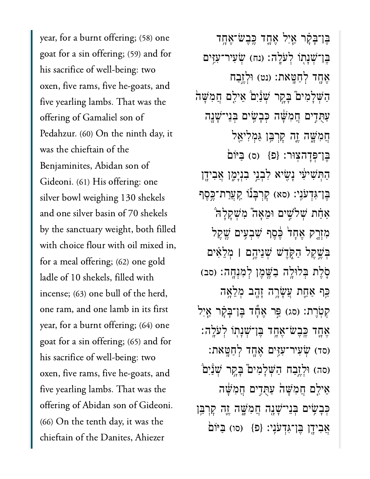year, for a burnt offering; (58) one goat for a sin offering; (59) and for his sacrifice of well-being: two oxen, five rams, five he-goats, and five yearling lambs. That was the offering of Gamaliel son of Pedahzur. (60) On the ninth day, it was the chieftain of the Benjaminites, Abidan son of Gideoni. (61) His offering: one silver bowl weighing 130 shekels and one silver basin of 70 shekels by the sanctuary weight, both filled with choice flour with oil mixed in, for a meal offering; (62) one gold ladle of 10 shekels, filled with incense; (63) one bull of the herd, one ram, and one lamb in its first year, for a burnt offering; (64) one goat for a sin offering; (65) and for his sacrifice of well-being: two oxen, five rams, five he-goats, and five yearling lambs. That was the offering of Abidan son of Gideoni. (66) On the tenth day, it was the chieftain of the Danites, Ahiezer

ֶּבן־ָּבָ֗קר ַ֧אִיל ֶאָ֛חד ֶּֽכֶבׂש־ֶאָ֥חד ֶּבן־ְׁשָנ֖תֹו ְלֹעָֽלה׃ )נח( ְׂשִעיר־ִעִּ֥זים אֶחֶד לְחַטֵּאת: (נט) וּלְזֵבַח הַשָּׁלָמִים בָּקֵר שִׁנַּ֫יִם אֵילֶם חֲמִשָּׁה ַעַּתְּדִים חֲמִשָּׁה כִּבָעֵים בְּנֵי־שָׁנָה ֲחִמָּׁ֑שה ֶ֛זה ׇקְרַּ֥בן ַּגְמִליֵ֖אל ֶּבן־ְּפָדהֽצּור׃ }פ{ )ס( ַּבּיֹו֙ם ַהַתְּשִׁיעִי נָשִׂיא לִבְנֵי בִנְיָמֶן אֲבִידֶן ָּבֶּן־גְּדְעֹּנֵי: (סא) קָרְבָּנוֹ <u>קְעֲר</u>ת־כֵּסֵף אַחָת שִׁלֹּשֵׁים וּמֵאֲה ּמְשָׁקַלַּה מִזְרֵק אֶחָד בֶּׁכֶּף שְׁבִעִּים שֱקֵל ְּבֶׁ֣שֶקל ַהֹּ֑קֶדׁש ְׁשֵניֶ֣הם **׀** ְמֵלִ֗אים ְּסֶלֶת בְּלוּלֶה בַּשֱמֶן לְמְנָחֶה: (סב) ַּכֵּף אַחֱת עֲשָׂרֶה זָהָב מְלֵאָה קִטְרֵת: (סג) פֵּר אֱדֶّד בֵּן־בָּקָר אֱיִל ָאֶחֱד כֵּבִשׂ־אֵחֶד בֵּן־שָׁנָתְוֹ לְעֹלֶה: (סד) שָׂעִיר־עִזְיִם אֲחָד לְחַטֵּאת: וסה) וּלְזֵבַח הַשָּׁלָמִים בָּקֵר שָׁנַּיִם אֵילֵם חֲמִשָּׁה עַתְּדִים חֲמִשָּׁה כִּבְשִׂיִּם בְּנֵי־שָׁנָה חֲמְשֵׁה זֶה קַרִבֵּן אֲבִידָן בֵּן־גְּדְעֹנֵי: {פ<sup>ָּ</sup>} (סו) בַּיּוֹם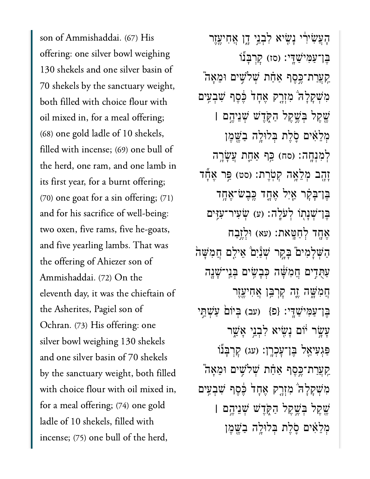son of Ammishaddai. (67) His offering: one silver bowl weighing 130 shekels and one silver basin of 70 shekels by the sanctuary weight, both filled with choice flour with oil mixed in, for a meal offering; (68) one gold ladle of 10 shekels, filled with incense; (69) one bull of the herd, one ram, and one lamb in its first year, for a burnt offering; (70) one goat for a sin offering; (71) and for his sacrifice of well-being: two oxen, five rams, five he-goats, and five yearling lambs. That was the offering of Ahiezer son of Ammishaddai. (72) On the eleventh day, it was the chieftain of the Asherites, Pagiel son of Ochran. (73) His offering: one silver bowl weighing 130 shekels and one silver basin of 70 shekels by the sanctuary weight, both filled with choice flour with oil mixed in, for a meal offering; (74) one gold ladle of 10 shekels, filled with incense; (75) one bull of the herd,

ָהָעֲשִׂירִׂי נַשִׂיא לְבְנֵי דֵן אֲחִיעֱזֶר ָבֶּן־עַמְּיֹּשֵׁדֵּי: (סז) קַרְבַּנוֹ ַקְעֲרַת־כֵּסֶף אַּחָת שְׁלֹשֵׁים וּמֶאֲה מְּשָׁקָלָה מְזָרֶק אֱחָד בֶּׁכֵף שָׁבְעֵים ֶׁ֖שֶקל ְּבֶׁ֣שֶקל ַהֹּ֑קֶדׁש ְׁשֵניֶ֣הם **׀** ּמְלֵאִ֫יִּם סֶׂלֶת בְּלוּלֵה בָשֱמֶן לְמְנְחֶה׃ (סח) כֵּף אַחֱת עֲשָׂרֶה זָזָב מְלֵאֲה קְטָרֶת: (סט) פֵּר אֱדֶّד ֶּבן־ָּבָ֗קר ַ֧אִיל ֶאָ֛חד ֶּֽכֶבׂש־ֶאָ֥חד ֶּבן־ְׁשָנ֖תֹו ְלֹעָֽלה׃ )ע( ְׂשִעיר־ִעִּ֥זים אָחָד לְחָטֵּאת: (עא) וּלְזֶבַח הַשְׁלָמִים בָּקֶר שָׁנַּ֫יִם אֵילִם חֲמִשָּׁה ַעֻּתִ֣דים ֲחִמָּׁ֔שה ְּכָבִׂ֥שים ְּבֵֽני־ָׁשָ֖נה ֲחִמָּׁ֑שה ֶ֛זה ׇקְרַּ֥בן ֲאִחיֶ֖עֶזר ַבֶּן־עַמְּיֹּשֵׁדֵּי: {פ} (עב) בִּיוֹם עַשְׁחֵי ַעֲשָׂר יֹוֹם נָשִׂיא לְבְנֵי אֲשֱר ַפְּגְעִיאֵל בֵּן־עָכְרֶן: (עג) קַרְבַּנוֹ ַקְעֲרַת־כֶּסֶף אַּחָֹת שִׁלֹּשֵׁים וּמֵאֲה מִשְׁקָלָה מִזְרֶק אֶחָד בֶּׁכֶּף שִׁבִעִּים ֶׁ֖שֶקל ְּבֶׁ֣שֶקל ַהֹּ֑קֶדׁש ְׁשֵניֶ֣הם **׀** מִלָּאִׁים סָׂלֶת בְּלוּלֵה בַּשֵׁמֵן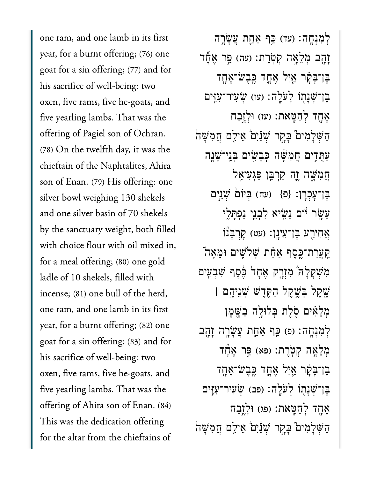one ram, and one lamb in its first year, for a burnt offering; (76) one goat for a sin offering; (77) and for his sacrifice of well-being: two oxen, five rams, five he-goats, and five yearling lambs. That was the offering of Pagiel son of Ochran. (78) On the twelfth day, it was the chieftain of the Naphtalites, Ahira son of Enan. (79) His offering: one silver bowl weighing 130 shekels and one silver basin of 70 shekels by the sanctuary weight, both filled with choice flour with oil mixed in, for a meal offering; (80) one gold ladle of 10 shekels, filled with incense; (81) one bull of the herd, one ram, and one lamb in its first year, for a burnt offering; (82) one goat for a sin offering; (83) and for his sacrifice of well-being: two oxen, five rams, five he-goats, and five yearling lambs. That was the offering of Ahira son of Enan. (84) This was the dedication offering for the altar from the chieftains of

לְמְנְחֵה׃ (עד) כֵּף אַחֲת עֲשָׂרֵה ַזָּהָב מְלֵאָה קִטְרֵת: (עה) פֵּר אֲדֶר ֶּבֶּן־בָּקָ֫ר אַיִל אֶחֱד כֵּבֵשֹׁ־אֵחֶד ָּבֶן־שָׁנַתְוֹ לְעֹלֵה: (עו) שָׂעִיר־עָזֶים ּאָחָד לְחַטָּאת: (עז) וּלְזֵבַח הַשְׁלָמִים בָּקֶר שָׁנַּיִם אֵילִם חֲמִשָּׁה ַעַּתְּדִים חֲמִשָּׁה כִּבָעִיּם בְּנֵי־שָׁנָה ֲחִמָּׁ֑שה ֶ֛זה ׇקְרַּ֥בן ַּפְגִעיֵ֖אל בֵּן־עָכְרֶן: {פ<sup>ָּ</sup>} (עח) בִּיוֹם *שָׁ*נֵים ַעֲשָׂר יֹוֹם נָשִׂיא לְבְנֵי נַפְתָּלֵי אֲחִירֵע בֵּן־עֵינֵן: (עט) קָרְבָּנוֹ ַקְעֲרַת־כֶּסֶף אַחָת שְׁלֹשֵׁים וּמֶאֲה מְּשָׁקָלָה מְזָרֶק אֶחָד בֶּׁכֵף שָׁבְעֵים ֶׁ֖שֶקל ְּבֶׁ֣שֶקל ַהֹּ֑קֶדׁש ְׁשֵניֶ֣הם **׀** ּמְלֵאִים סָלֵת בִּלוּלֶה בַּשֵׁמֵן לְמִנְחֶה׃ (פ) כֵּף אַחֱת עֲשָׂרֶה זָהֶב ְמְלֵאֶה קִטְרֶת: (פּא) פֵּר אֲחַד ֶּבן־ָּבָ֗קר ַ֧אִיל ֶאָ֛חד ֶּֽכֶבׂש־ֶאָ֥חד ֶּבן־ְׁשָנ֖תֹו ְלֹעָֽלה׃ )פב( ְׂשִעיר־ִעִּ֥זים אֶחֲד לְחַטֵּאת: (פג) וּלְזֵבַח הַשָּׁלַמִּים ּבַּקֵר שִׁנַּ֫יָם ֹאֵילֵם חֲמִשָּׁה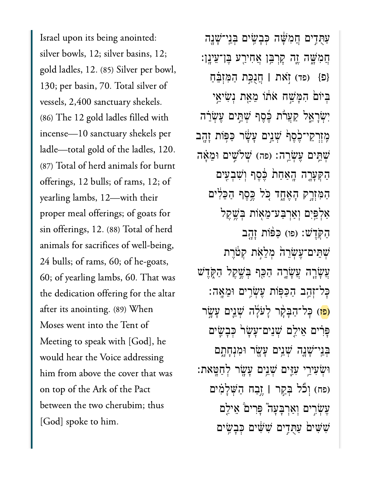Israel upon its being anointed: silver bowls, 12; silver basins, 12; gold ladles, 12. (85) Silver per bowl, 130; per basin, 70. Total silver of vessels, 2,400 sanctuary shekels. (86) The 12 gold ladles filled with incense—10 sanctuary shekels per ladle—total gold of the ladles, 120. (87) Total of herd animals for burnt offerings, 12 bulls; of rams, 12; of yearling lambs, 12—with their proper meal offerings; of goats for sin offerings, 12. (88) Total of herd animals for sacrifices of well-being, 24 bulls; of rams, 60; of he-goats, 60; of yearling lambs, 60. That was the dedication offering for the altar after its anointing. (89) When Moses went into the Tent of Meeting to speak with [God], he would hear the Voice addressing him from above the cover that was on top of the Ark of the Pact between the two cherubim; thus [God] spoke to him.

ַעֻּתִ֣דים ֲחִמָּׁ֔שה ְּכָבִׂ֥שים ְּבֵֽני־ָׁשָ֖נה ֲחִמָּׁ֑שה ֶ֛זה ׇקְרַּ֥בן ֲאִחיַ֖רע ֶּבן־ֵעיָֽנן׃ }פ{ )פד( ֹ֣זאת **׀** ֲחֻנַּ֣כת ַהִּמְזֵּ֗בַח ּבִּיוֹם הִמַּשָׁח אֹתוֹ מֵאֵת נִשְׂיאֵי יִשְׂרָאֱל קַעֲרֹת כֶּׁסֶף שָׁתֵּים עֵ**ׁשְׂרֵה** ַמְזְרָקֵי־כֶׂסֵףׂ שָׁנֵיִּם עֲשָׂר כַּפִּּוֹת זָהֲב ְּעְׁהֵים עֲשָׂרֱה׃ (פה) שְׁלִּשֵׁים וּמֵאָּה ַהְּקָעָ֤רה ָֽהַאַח֙ת ֶּ֔כֶסף ְוִׁשְבִ֖עים הַמִּזְרָק הָאֶחֱד כִּל ְּבֵסֵף הַבִּלִ<sup>י</sup>ים ַאֲלְפֵּיָם וְאֲרָבַּע־מֶאִוֹת בִּשֶׁקֵל הַקְּדָשׁ: (פו) כַּפּׂוֹת זָהֶב ְשָׁתֵּים־עֲשָׂרֵה מְלֵאָת קְטַרֵת ָעֲשָׂרֶה עֲשָׂרֶה הַכֵּף בְּשֵׁקֵל הַקְּדָּשׁ ּכָּל־זְהַב הַכַּפְּוֹת עֵעְׂרֵים וּמֵאֲה: פּל־הַבָּקָר לַעֹּלַּה <sup>ָ</sup>שָׁנֵים עַשֵׂר) ַפְּרִים אֵילֵם שָׁנֵים־עֲשָׂר כְּבַשֵּׂים בְּנֵי־שָׁנֶה שָׁנֵים עָשָׂר וּמִנְחָתַם ּוְׂשִעיֵ֥רי ִעִּ֛זים ְׁשֵ֥נים ָעָׂ֖שר ְלַחָּֽטאת׃ )פח( ְוֹ֞כל ְּבַ֣קר **׀** ֶ֣זַבח ַהְּׁשָלִ֗מים ּעֲשָׂרֵים וְאַרְבָּעֲה ּפִּרִים ׁאֵילֵם שִׁשִּׁים כָּבָשִׂים  $\psi$ שים הָבָשִׂים